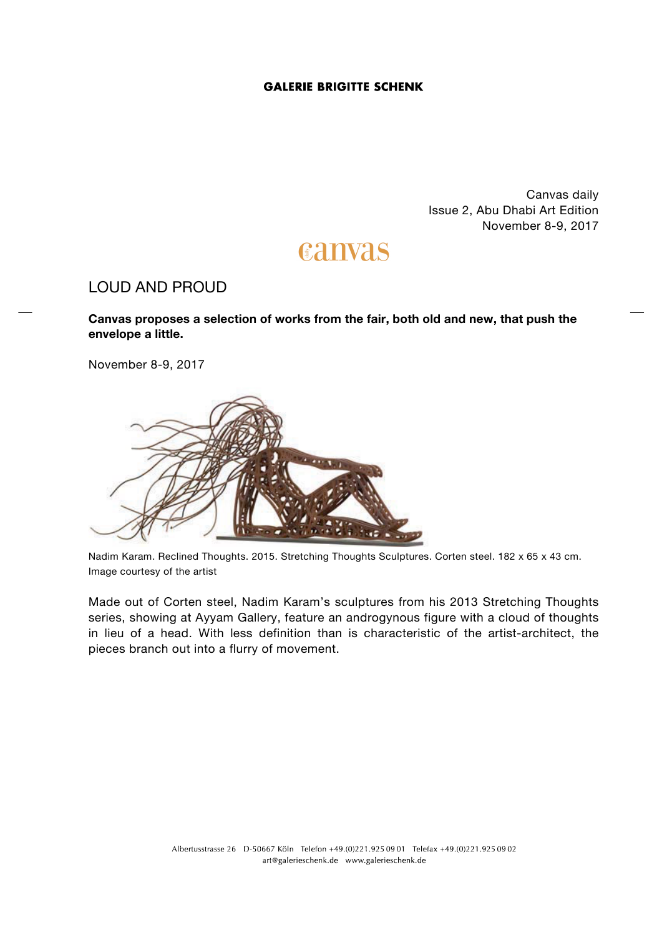## **GALERIE BRIGITTE SCHENK**

Canvas daily Issue 2, Abu Dhabi Art Edition November 8-9, 2017

# canvas

## LOUD AND PROUD

**Canvas proposes a selection of works from the fair, both old and new, that push the envelope a little.**

November 8-9, 2017



Nadim Karam. Reclined Thoughts. 2015. Stretching Thoughts Sculptures. Corten steel. 182 x 65 x 43 cm. Image courtesy of the artist

Made out of Corten steel, Nadim Karam's sculptures from his 2013 Stretching Thoughts series, showing at Ayyam Gallery, feature an androgynous figure with a cloud of thoughts in lieu of a head. With less definition than is characteristic of the artist-architect, the pieces branch out into a flurry of movement.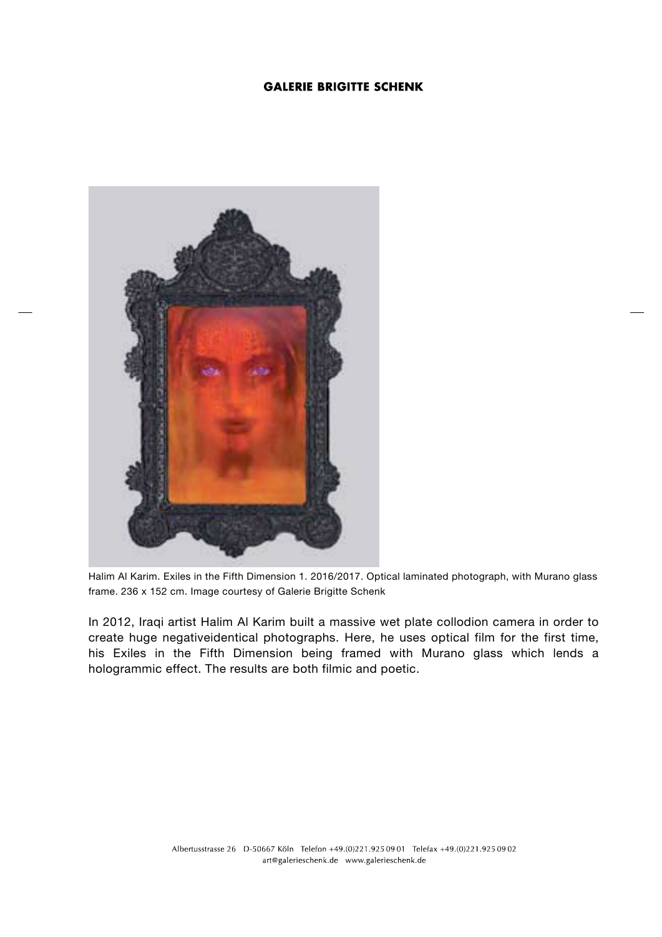## **GALERIE BRIGITTE SCHENK**



Halim Al Karim. Exiles in the Fifth Dimension 1. 2016/2017. Optical laminated photograph, with Murano glass frame. 236 x 152 cm. Image courtesy of Galerie Brigitte Schenk

In 2012, Iraqi artist Halim Al Karim built a massive wet plate collodion camera in order to create huge negativeidentical photographs. Here, he uses optical film for the first time, his Exiles in the Fifth Dimension being framed with Murano glass which lends a hologrammic effect. The results are both filmic and poetic.